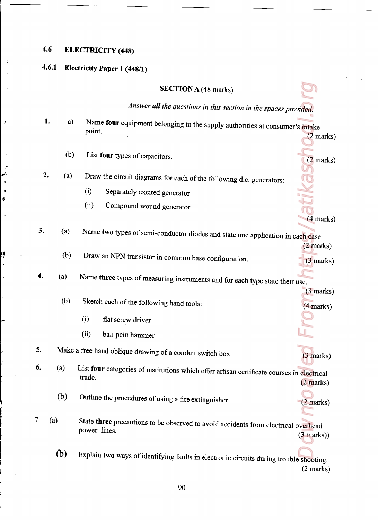## 4.6 ELECTRICITY (448)

F

 $\hat{\mathbf{z}}$ 

ť

## 4.6.1 Electricity Paper 1 (448/1)

## SECTIONA (48 marks)

Answer all the questions in this section in the spaces provided.

(4 marks)

(3 marks)

- From: From: Alexander Community Communications (2) marked (3) marked (3) marked (3) marked (3) marked (3) marked (3) marked (3) marked (3) marked (3) marked (3) marked (3) marked (3) marked (3) marked (3) marked (3) marked 1. a) Name **four** equipment belonging to the supply authorities at consumer's intake point. (2 marks)
	- (b) List four types of capacitors. (2 marks)
- (a) Draw the circuit diagrams for each of the following d.c, generators:  $2.$ 
	- (i) Separately excited generator
	- (ii) Compound wound generator
- (a) Name two types of semi-conductor diodes and state one application in each case.  $3.$ (2 marks)
	- (b) Draw an NPN transistor in common base configuration. (3 marks)

(a) Name three types of measuring instruments and for each type state their use,

- (b) Sketch each of the following hand tools:  $(4 \text{ marks})$ 
	- (i) flat screw driver
	- (ii) ball pein hammer

Make a free hand oblique drawing of a conduit switch box. (3 marks)

- (a) List four categories of institutions which offer artisan certificate courses in electrical trade. (2 marks)
	- (b) Outline the procedures of using a fire extinguisher.  $(2 \text{ marks})$
- (b) Draw<br>
4. (a) Name t<br>
(b) Sketcl<br>
(i)<br>
(ii)<br>
5. Make a free ha<br>
6. (a) List fou<br>
trade.<br>
(b) Outline<br>
7. (a) State th<br>
power<br>
(b) Explain (a) State three precautions to be observed to avoid accidents from electrical overhead power lines. (3 marks)
	- $(b)$ Explain two ways of identifying faults in electronic circuits during trouble shooting (2 marks)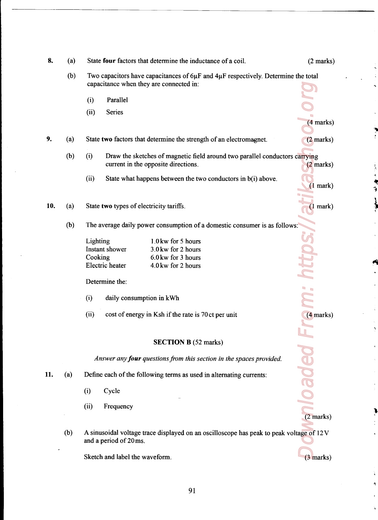| 8.  | (a) | State four factors that determine the inductance of a coil.                                                                            | $(2 \text{ marks})$ |  |  |
|-----|-----|----------------------------------------------------------------------------------------------------------------------------------------|---------------------|--|--|
|     | (b) | Two capacitors have capacitances of $6\mu$ F and $4\mu$ F respectively. Determine the total<br>capacitance when they are connected in: |                     |  |  |
|     |     | Parallel<br>(i)                                                                                                                        |                     |  |  |
|     |     | (ii)<br><b>Series</b>                                                                                                                  |                     |  |  |
|     |     |                                                                                                                                        | $(4$ marks)         |  |  |
| 9.  | (a) | State two factors that determine the strength of an electromagnet.                                                                     | $(2$ marks)         |  |  |
|     | (b) | (i)<br>Draw the sketches of magnetic field around two parallel conductors carrying<br>current in the opposite directions.              | $(2 \text{ marks})$ |  |  |
|     |     | (ii)<br>State what happens between the two conductors in b(i) above.                                                                   | $(1$ mark $)$       |  |  |
| 10. | (a) | State two types of electricity tariffs.                                                                                                | $(1$ mark)          |  |  |
|     | (b) | The average daily power consumption of a domestic consumer is as follows:                                                              |                     |  |  |
|     |     | 1.0 kw for 5 hours<br>Lighting                                                                                                         |                     |  |  |
|     |     | Instant shower<br>3.0 kw for 2 hours                                                                                                   |                     |  |  |
|     |     | Cooking<br>6.0 kw for 3 hours<br>Electric heater<br>4.0 kw for 2 hours                                                                 |                     |  |  |
|     |     |                                                                                                                                        |                     |  |  |
|     |     | Determine the:                                                                                                                         |                     |  |  |
|     |     | (i)<br>daily consumption in kWh                                                                                                        |                     |  |  |
|     |     | (ii)<br>cost of energy in Ksh if the rate is 70 ct per unit                                                                            | $(4$ marks)         |  |  |
|     |     |                                                                                                                                        |                     |  |  |
|     |     | <b>SECTION B</b> (52 marks)                                                                                                            |                     |  |  |
|     |     | Answer any four questions from this section in the spaces provided.                                                                    |                     |  |  |
| 11. | (a) | Define each of the following terms as used in alternating currents:                                                                    | paded               |  |  |
|     |     | Cycle<br>(i)                                                                                                                           |                     |  |  |
|     |     | (ii)<br>Frequency                                                                                                                      |                     |  |  |
|     |     |                                                                                                                                        | $(2$ marks)         |  |  |
|     | (b) | A sinusoidal voltage trace displayed on an oscilloscope has peak to peak voltage of 12V<br>and a period of 20 ms.                      |                     |  |  |
|     |     | Sketch and label the waveform.                                                                                                         | $(3$ marks)         |  |  |

**SO - 电空 - 2008年** 

J

÷  $\ddot{\phantom{1}}$ 

> ä Ą

a  $\vec{r}$ 

į

 $\ddot{\phantom{1}}$  $\ddot{\zeta}$  $\ddot{\phantom{0}}$ 

Sketch and label the waveform. (3 marks)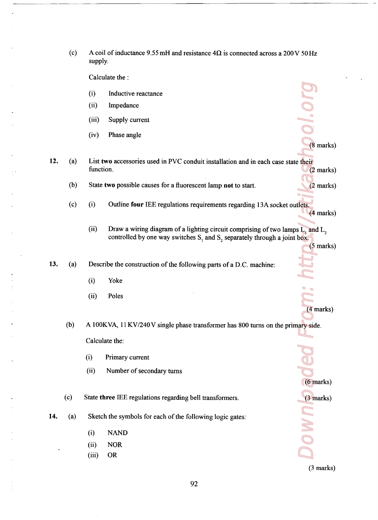|     | (c)              | A coil of inductance 9.55 mH and resistance $4\Omega$ is connected across a 200 V 50 Hz<br>supply. |                                                                                                                                                                       |                     |  |  |  |
|-----|------------------|----------------------------------------------------------------------------------------------------|-----------------------------------------------------------------------------------------------------------------------------------------------------------------------|---------------------|--|--|--|
|     |                  |                                                                                                    | Calculate the :                                                                                                                                                       |                     |  |  |  |
|     |                  | (i)                                                                                                | Inductive reactance                                                                                                                                                   |                     |  |  |  |
|     |                  | (ii)                                                                                               | Impedance                                                                                                                                                             |                     |  |  |  |
|     |                  | (iii)                                                                                              | Supply current                                                                                                                                                        |                     |  |  |  |
|     |                  | (iv)                                                                                               | Phase angle                                                                                                                                                           | $(8 \text{ marks})$ |  |  |  |
| 12. | (a)<br>function. |                                                                                                    | List two accessories used in PVC conduit installation and in each case state their                                                                                    | $(2 \text{ marks})$ |  |  |  |
|     | (b)              |                                                                                                    | State two possible causes for a fluorescent lamp not to start.                                                                                                        | $(2 \text{ marks})$ |  |  |  |
|     | (c)              | (i)                                                                                                | Outline four IEE regulations requirements regarding 13A socket outlets.                                                                                               | $(4$ marks)         |  |  |  |
|     |                  | (ii)                                                                                               | Draw a wiring diagram of a lighting circuit comprising of two lamps $L_1$ and $L_2$<br>controlled by one way switches $S_1$ and $S_2$ separately through a joint box. | $(5$ marks)         |  |  |  |
| 13. | (a)              |                                                                                                    | Describe the construction of the following parts of a D.C. machine:                                                                                                   |                     |  |  |  |
|     |                  | (i)                                                                                                | Yoke                                                                                                                                                                  |                     |  |  |  |
|     |                  | (ii)                                                                                               | Poles                                                                                                                                                                 |                     |  |  |  |
|     |                  |                                                                                                    |                                                                                                                                                                       | $(4$ marks)         |  |  |  |
|     | (b)              |                                                                                                    | A 100KVA, 11KV/240V single phase transformer has 800 turns on the primary side.                                                                                       |                     |  |  |  |
|     |                  |                                                                                                    | Calculate the:                                                                                                                                                        |                     |  |  |  |
|     |                  | (i)                                                                                                | Primary current                                                                                                                                                       |                     |  |  |  |
|     |                  | (ii)                                                                                               | Number of secondary turns                                                                                                                                             | $(6$ marks)         |  |  |  |
|     | (c)              |                                                                                                    | State three IEE regulations regarding bell transformers.                                                                                                              | $(3$ marks)         |  |  |  |
| 14. | (a)              |                                                                                                    | Sketch the symbols for each of the following logic gates:                                                                                                             | <b>MNUC</b>         |  |  |  |
|     |                  | (i)                                                                                                | <b>NAND</b>                                                                                                                                                           |                     |  |  |  |
|     |                  | (ii)                                                                                               | <b>NOR</b>                                                                                                                                                            |                     |  |  |  |
|     |                  | (iii)                                                                                              | <b>OR</b>                                                                                                                                                             |                     |  |  |  |
|     |                  |                                                                                                    |                                                                                                                                                                       | (3 marks)           |  |  |  |

 $\frac{1}{2}$  $\frac{1}{2}$ 

<u> 1980 - Jan Samuel Barbert Barbert Barbert Barbert Barbert Barbert Barbert Barbert Barbert Barbert Barbert Bar</u>

 $\ddot{\phantom{1}}$ 

 $\hat{\boldsymbol{\theta}}$ 

 $\ddot{\phantom{a}}$ 

92

 $\bar{z}$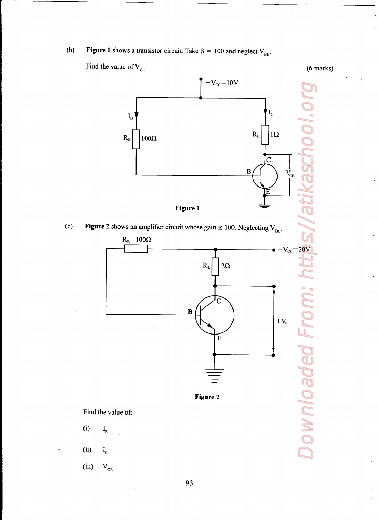(b) Figure 1 shows a transistor circuit. Take  $\beta = 100$  and neglect  $V_{BE}$ .

<u> 1980 - An Francisco Americano de San Antonio de San Antonio de San Antonio de San Antonio de San Antonio de S</u>

Find the value of  $V_{\text{CE}}$  (6 marks)



(c) Figure 2 shows an amplifier circuit whose gain is 100. Neglecting  $V_{BE}$ ,



Figure 2

Find the value of:

(i)  $I_B$ 

- $(ii)$   $I_c$
- (iii)  $V_{CE}$